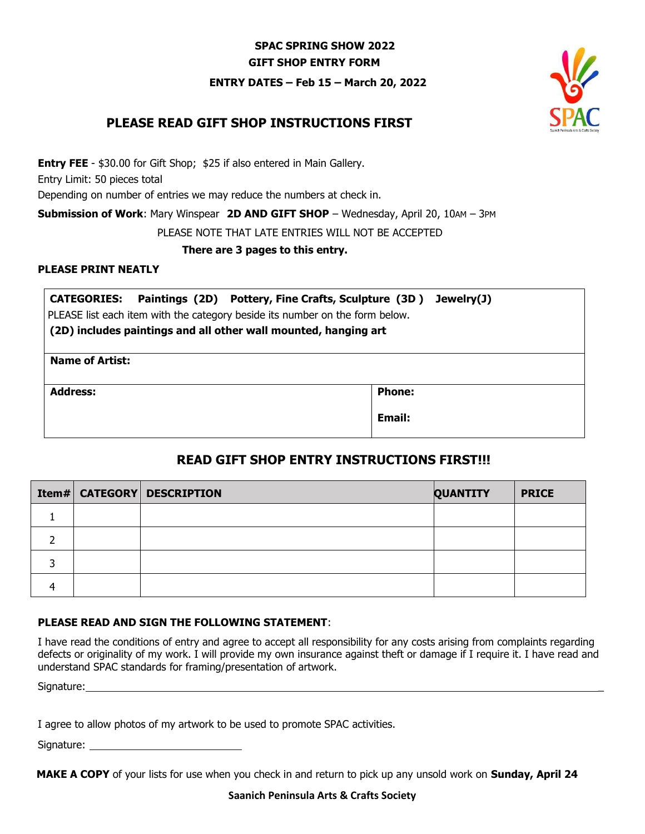### **SPAC SPRING SHOW 2022 GIFT SHOP ENTRY FORM**

**ENTRY DATES – Feb 15 – March 20, 2022**



## **PLEASE READ GIFT SHOP INSTRUCTIONS FIRST**

**Entry FEE** - \$30.00 for Gift Shop; \$25 if also entered in Main Gallery.

Entry Limit: 50 pieces total

Depending on number of entries we may reduce the numbers at check in.

**Submission of Work**: Mary Winspear **2D AND GIFT SHOP** – Wednesday, April 20, 10AM – 3PM

PLEASE NOTE THAT LATE ENTRIES WILL NOT BE ACCEPTED

**There are 3 pages to this entry.**

#### **PLEASE PRINT NEATLY**

**CATEGORIES: Paintings (2D) Pottery, Fine Crafts, Sculpture (3D ) Jewelry(J)**  PLEASE list each item with the category beside its number on the form below.

**(2D) includes paintings and all other wall mounted, hanging art**

| <b>Name of Artist:</b> |               |
|------------------------|---------------|
| <b>Address:</b>        | <b>Phone:</b> |
|                        | Email:        |

# **READ GIFT SHOP ENTRY INSTRUCTIONS FIRST!!!**

|  | <b>Item# CATEGORY DESCRIPTION</b> | <b>QUANTITY</b> | <b>PRICE</b> |
|--|-----------------------------------|-----------------|--------------|
|  |                                   |                 |              |
|  |                                   |                 |              |
|  |                                   |                 |              |
|  |                                   |                 |              |

### **PLEASE READ AND SIGN THE FOLLOWING STATEMENT**:

I have read the conditions of entry and agree to accept all responsibility for any costs arising from complaints regarding defects or originality of my work. I will provide my own insurance against theft or damage if I require it. I have read and understand SPAC standards for framing/presentation of artwork.

Signature:

I agree to allow photos of my artwork to be used to promote SPAC activities.

Signature: \_\_\_\_\_

 **MAKE A COPY** of your lists for use when you check in and return to pick up any unsold work on **Sunday, April 24**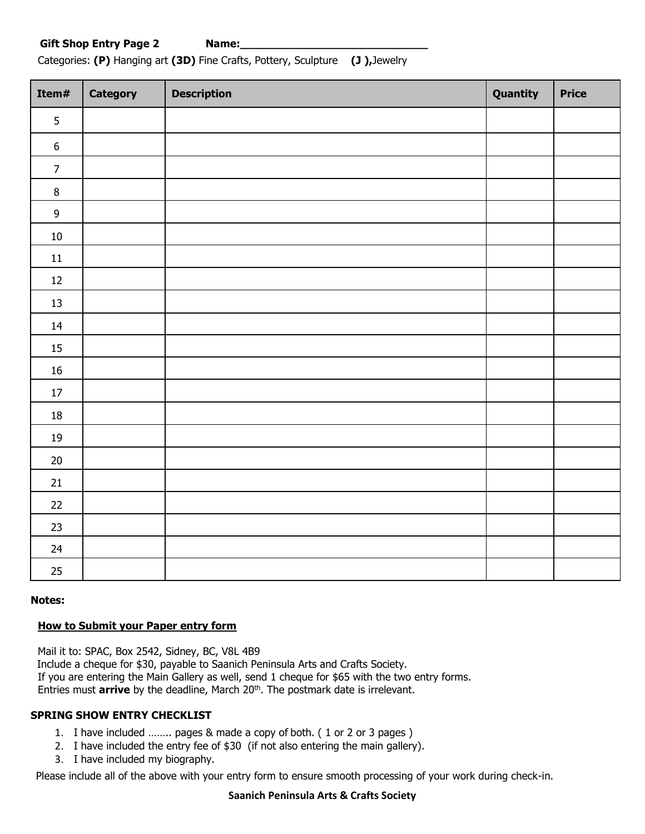Categories: **(P)** Hanging art **(3D)** Fine Crafts, Pottery, Sculpture **(J ),**Jewelry

| Item#            | Category | <b>Description</b> | Quantity | <b>Price</b> |
|------------------|----------|--------------------|----------|--------------|
| 5                |          |                    |          |              |
| $\boldsymbol{6}$ |          |                    |          |              |
| $\overline{7}$   |          |                    |          |              |
| $\, 8$           |          |                    |          |              |
| $\boldsymbol{9}$ |          |                    |          |              |
| $10\,$           |          |                    |          |              |
| $11\,$           |          |                    |          |              |
| $12\,$           |          |                    |          |              |
| $13\,$           |          |                    |          |              |
| 14               |          |                    |          |              |
| $15\,$           |          |                    |          |              |
| $16\,$           |          |                    |          |              |
| $17\,$           |          |                    |          |              |
| $18\,$           |          |                    |          |              |
| 19               |          |                    |          |              |
| $20\,$           |          |                    |          |              |
| $21\,$           |          |                    |          |              |
| $22\,$           |          |                    |          |              |
| 23               |          |                    |          |              |
| $24\,$           |          |                    |          |              |
| $25\,$           |          |                    |          |              |

**Notes:**

### **How to Submit your Paper entry form**

Mail it to: SPAC, Box 2542, Sidney, BC, V8L 4B9 Include a cheque for \$30, payable to Saanich Peninsula Arts and Crafts Society. If you are entering the Main Gallery as well, send 1 cheque for \$65 with the two entry forms. Entries must **arrive** by the deadline, March 20<sup>th</sup>. The postmark date is irrelevant.

### **SPRING SHOW ENTRY CHECKLIST**

- 1. I have included …….. pages & made a copy of both. ( 1 or 2 or 3 pages )
- 2. I have included the entry fee of \$30 (if not also entering the main gallery).
- 3. I have included my biography.

Please include all of the above with your entry form to ensure smooth processing of your work during check-in.

#### **Saanich Peninsula Arts & Crafts Society**